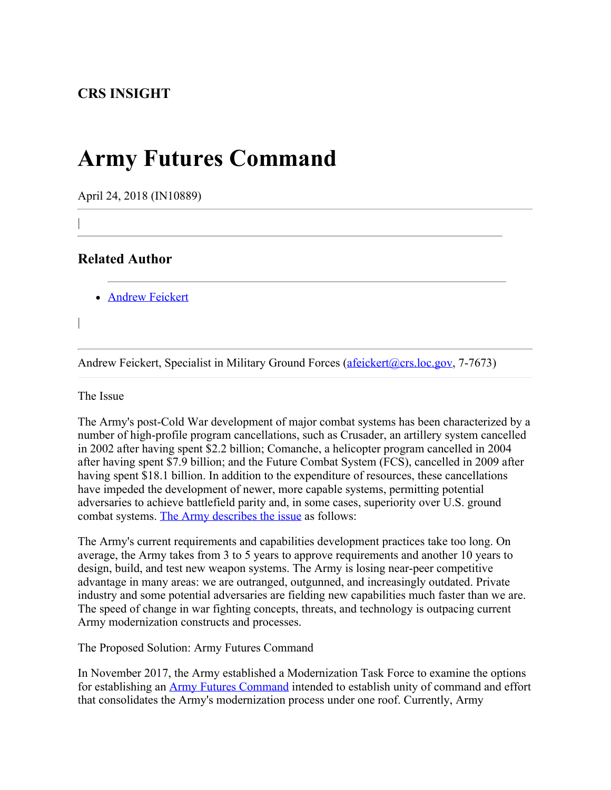## **Army Futures Command**

April 24, 2018 (IN10889)

## **Related Author**

|

|

**[Andrew Feickert](http://www.crs.gov/Author/index?id=72520)** 

Andrew Feickert, Specialist in Military Ground Forces [\(afeickert@crs.loc.gov](mailto:afeickert@crs.loc.gov), 7-7673)

The Issue

The Army's post-Cold War development of major combat systems has been characterized by a number of high-profile program cancellations, such as Crusader, an artillery system cancelled in 2002 after having spent \$2.2 billion; Comanche, a helicopter program cancelled in 2004 after having spent \$7.9 billion; and the Future Combat System (FCS), cancelled in 2009 after having spent \$18.1 billion. In addition to the expenditure of resources, these cancellations have impeded the development of newer, more capable systems, permitting potential adversaries to achieve battlefield parity and, in some cases, superiority over U.S. ground combat systems. [The Army describes the issue](https://armypubs.army.mil/epubs/DR_pubs/DR_a/pdf/web/ARN6391_AD2017-33_Web_Final.pdf) as follows:

The Army's current requirements and capabilities development practices take too long. On average, the Army takes from 3 to 5 years to approve requirements and another 10 years to design, build, and test new weapon systems. The Army is losing near-peer competitive advantage in many areas: we are outranged, outgunned, and increasingly outdated. Private industry and some potential adversaries are fielding new capabilities much faster than we are. The speed of change in war fighting concepts, threats, and technology is outpacing current Army modernization constructs and processes.

The Proposed Solution: Army Futures Command

In November 2017, the Army established a Modernization Task Force to examine the options for establishing an [Army Futures Command](https://armypubs.army.mil/epubs/DR_pubs/DR_a/pdf/web/ARN6391_AD2017-33_Web_Final.pdf) intended to establish unity of command and effort that consolidates the Army's modernization process under one roof. Currently, Army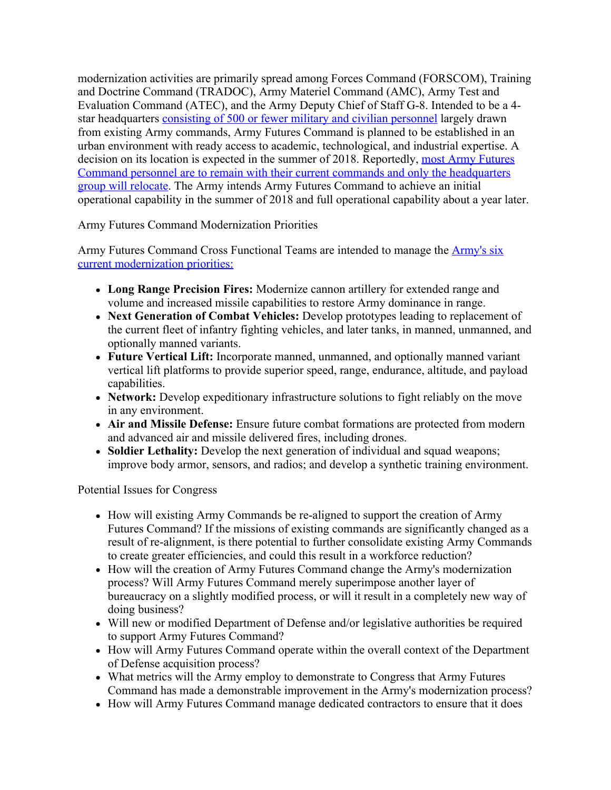modernization activities are primarily spread among Forces Command (FORSCOM), Training and Doctrine Command (TRADOC), Army Materiel Command (AMC), Army Test and Evaluation Command (ATEC), and the Army Deputy Chief of Staff G-8. Intended to be a 4 star headquarters [consisting of 500 or fewer military and civilian personnel](https://insidedefense.com/sites/insidedefense.com/files/documents/2018/apr/04182018_afc.pdf) largely drawn from existing Army commands, Army Futures Command is planned to be established in an urban environment with ready access to academic, technological, and industrial expertise. A decision on its location is expected in the summer of 2018. Reportedly, [most Army Futures](https://insidedefense.com/daily-news/army-futures-command-will-be-major-command) [Command personnel are to remain with their current commands and only the headquarters](https://insidedefense.com/daily-news/army-futures-command-will-be-major-command) [group will relocate](https://insidedefense.com/daily-news/army-futures-command-will-be-major-command). The Army intends Army Futures Command to achieve an initial operational capability in the summer of 2018 and full operational capability about a year later.

Army Futures Command Modernization Priorities

Army Futures Command Cross Functional Teams are intended to manage the [Army's six](https://www.armed-services.senate.gov/imo/media/doc/Esper-Milley_04-12-18.pdf) [current modernization priorities:](https://www.armed-services.senate.gov/imo/media/doc/Esper-Milley_04-12-18.pdf)

- **Long Range Precision Fires:** Modernize cannon artillery for extended range and volume and increased missile capabilities to restore Army dominance in range.
- **Next Generation of Combat Vehicles:** Develop prototypes leading to replacement of the current fleet of infantry fighting vehicles, and later tanks, in manned, unmanned, and optionally manned variants.
- **Future Vertical Lift:** Incorporate manned, unmanned, and optionally manned variant vertical lift platforms to provide superior speed, range, endurance, altitude, and payload capabilities.
- **Network:** Develop expeditionary infrastructure solutions to fight reliably on the move in any environment.
- **Air and Missile Defense:** Ensure future combat formations are protected from modern and advanced air and missile delivered fires, including drones.
- **Soldier Lethality:** Develop the next generation of individual and squad weapons; improve body armor, sensors, and radios; and develop a synthetic training environment.

Potential Issues for Congress

- How will existing Army Commands be re-aligned to support the creation of Army Futures Command? If the missions of existing commands are significantly changed as a result of re-alignment, is there potential to further consolidate existing Army Commands to create greater efficiencies, and could this result in a workforce reduction?
- How will the creation of Army Futures Command change the Army's modernization process? Will Army Futures Command merely superimpose another layer of bureaucracy on a slightly modified process, or will it result in a completely new way of doing business?
- Will new or modified Department of Defense and/or legislative authorities be required to support Army Futures Command?
- How will Army Futures Command operate within the overall context of the Department of Defense acquisition process?
- What metrics will the Army employ to demonstrate to Congress that Army Futures Command has made a demonstrable improvement in the Army's modernization process?
- How will Army Futures Command manage dedicated contractors to ensure that it does